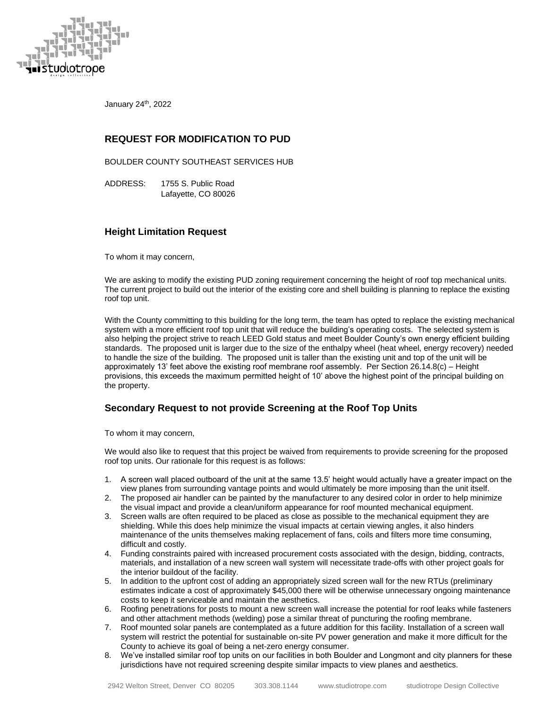

January 24th, 2022

# **REQUEST FOR MODIFICATION TO PUD**

BOULDER COUNTY SOUTHEAST SERVICES HUB

ADDRESS: 1755 S. Public Road Lafayette, CO 80026

## **Height Limitation Request**

To whom it may concern,

We are asking to modify the existing PUD zoning requirement concerning the height of roof top mechanical units. The current project to build out the interior of the existing core and shell building is planning to replace the existing roof top unit.

With the County committing to this building for the long term, the team has opted to replace the existing mechanical system with a more efficient roof top unit that will reduce the building's operating costs. The selected system is also helping the project strive to reach LEED Gold status and meet Boulder County's own energy efficient building standards. The proposed unit is larger due to the size of the enthalpy wheel (heat wheel, energy recovery) needed to handle the size of the building. The proposed unit is taller than the existing unit and top of the unit will be approximately 13' feet above the existing roof membrane roof assembly. Per Section 26.14.8(c) – Height provisions, this exceeds the maximum permitted height of 10' above the highest point of the principal building on the property.

## **Secondary Request to not provide Screening at the Roof Top Units**

To whom it may concern,

We would also like to request that this project be waived from requirements to provide screening for the proposed roof top units. Our rationale for this request is as follows:

- 1. A screen wall placed outboard of the unit at the same 13.5' height would actually have a greater impact on the view planes from surrounding vantage points and would ultimately be more imposing than the unit itself.
- 2. The proposed air handler can be painted by the manufacturer to any desired color in order to help minimize the visual impact and provide a clean/uniform appearance for roof mounted mechanical equipment.
- 3. Screen walls are often required to be placed as close as possible to the mechanical equipment they are shielding. While this does help minimize the visual impacts at certain viewing angles, it also hinders maintenance of the units themselves making replacement of fans, coils and filters more time consuming, difficult and costly.
- 4. Funding constraints paired with increased procurement costs associated with the design, bidding, contracts, materials, and installation of a new screen wall system will necessitate trade-offs with other project goals for the interior buildout of the facility.
- 5. In addition to the upfront cost of adding an appropriately sized screen wall for the new RTUs (preliminary estimates indicate a cost of approximately \$45,000 there will be otherwise unnecessary ongoing maintenance costs to keep it serviceable and maintain the aesthetics.
- 6. Roofing penetrations for posts to mount a new screen wall increase the potential for roof leaks while fasteners and other attachment methods (welding) pose a similar threat of puncturing the roofing membrane.
- 7. Roof mounted solar panels are contemplated as a future addition for this facility. Installation of a screen wall system will restrict the potential for sustainable on-site PV power generation and make it more difficult for the County to achieve its goal of being a net-zero energy consumer.
- 8. We've installed similar roof top units on our facilities in both Boulder and Longmont and city planners for these jurisdictions have not required screening despite similar impacts to view planes and aesthetics.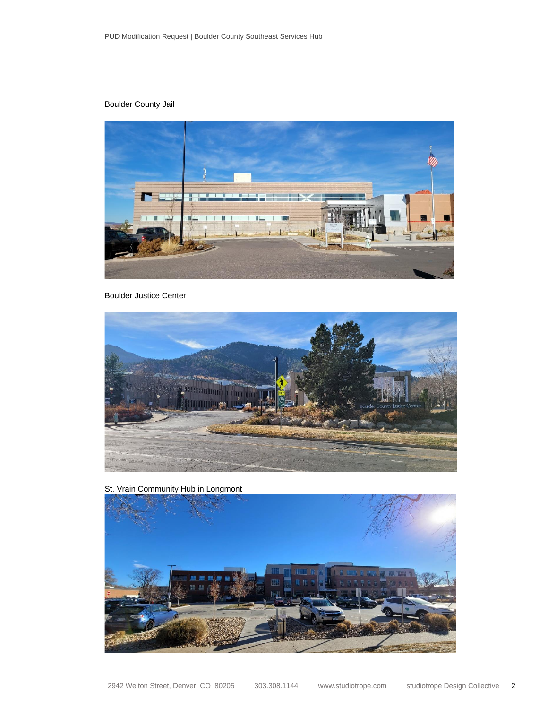## Boulder County Jail



#### Boulder Justice Center



St. Vrain Community Hub in Longmont